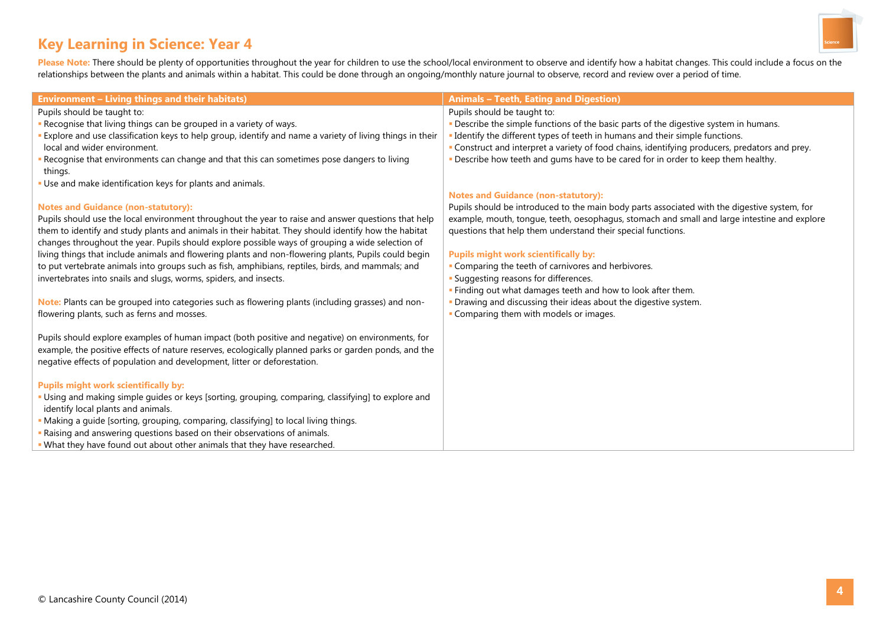# **Key Learning in Science: Year 4**



Please Note: There should be plenty of opportunities throughout the year for children to use the school/local environment to observe and identify how a habitat changes. This could include a focus on the relationships between the plants and animals within a habitat. This could be done through an ongoing/monthly nature journal to observe, record and review over a period of time.

| <b>Environment - Living things and their habitats)</b>                                                   | <b>Animals - Teeth, Eating and Digestion)</b>                                                  |
|----------------------------------------------------------------------------------------------------------|------------------------------------------------------------------------------------------------|
| Pupils should be taught to:                                                                              | Pupils should be taught to:                                                                    |
| Recognise that living things can be grouped in a variety of ways.                                        | . Describe the simple functions of the basic parts of the digestive system in humans.          |
| Explore and use classification keys to help group, identify and name a variety of living things in their | - Identify the different types of teeth in humans and their simple functions.                  |
| local and wider environment.                                                                             | - Construct and interpret a variety of food chains, identifying producers, predators and prey. |
| Recognise that environments can change and that this can sometimes pose dangers to living<br>things.     | - Describe how teeth and gums have to be cared for in order to keep them healthy.              |
| Use and make identification keys for plants and animals.                                                 |                                                                                                |
|                                                                                                          | <b>Notes and Guidance (non-statutory):</b>                                                     |
| <b>Notes and Guidance (non-statutory):</b>                                                               | Pupils should be introduced to the main body parts associated with the digestive system, for   |
| Pupils should use the local environment throughout the year to raise and answer questions that help      | example, mouth, tongue, teeth, oesophagus, stomach and small and large intestine and explore   |
| them to identify and study plants and animals in their habitat. They should identify how the habitat     | questions that help them understand their special functions.                                   |
| changes throughout the year. Pupils should explore possible ways of grouping a wide selection of         |                                                                                                |
| living things that include animals and flowering plants and non-flowering plants, Pupils could begin     | <b>Pupils might work scientifically by:</b>                                                    |
| to put vertebrate animals into groups such as fish, amphibians, reptiles, birds, and mammals; and        | - Comparing the teeth of carnivores and herbivores.                                            |
| invertebrates into snails and slugs, worms, spiders, and insects.                                        | <b>- Suggesting reasons for differences.</b>                                                   |
|                                                                                                          | . Finding out what damages teeth and how to look after them.                                   |
| Note: Plants can be grouped into categories such as flowering plants (including grasses) and non-        | - Drawing and discussing their ideas about the digestive system.                               |
| flowering plants, such as ferns and mosses.                                                              | - Comparing them with models or images.                                                        |
|                                                                                                          |                                                                                                |
| Pupils should explore examples of human impact (both positive and negative) on environments, for         |                                                                                                |
| example, the positive effects of nature reserves, ecologically planned parks or garden ponds, and the    |                                                                                                |
| negative effects of population and development, litter or deforestation.                                 |                                                                                                |
|                                                                                                          |                                                                                                |
| <b>Pupils might work scientifically by:</b>                                                              |                                                                                                |
| Using and making simple guides or keys [sorting, grouping, comparing, classifying] to explore and        |                                                                                                |
| identify local plants and animals.                                                                       |                                                                                                |
| Making a guide [sorting, grouping, comparing, classifying] to local living things.                       |                                                                                                |
| Raising and answering questions based on their observations of animals.                                  |                                                                                                |
| What they have found out about other animals that they have researched.                                  |                                                                                                |
|                                                                                                          |                                                                                                |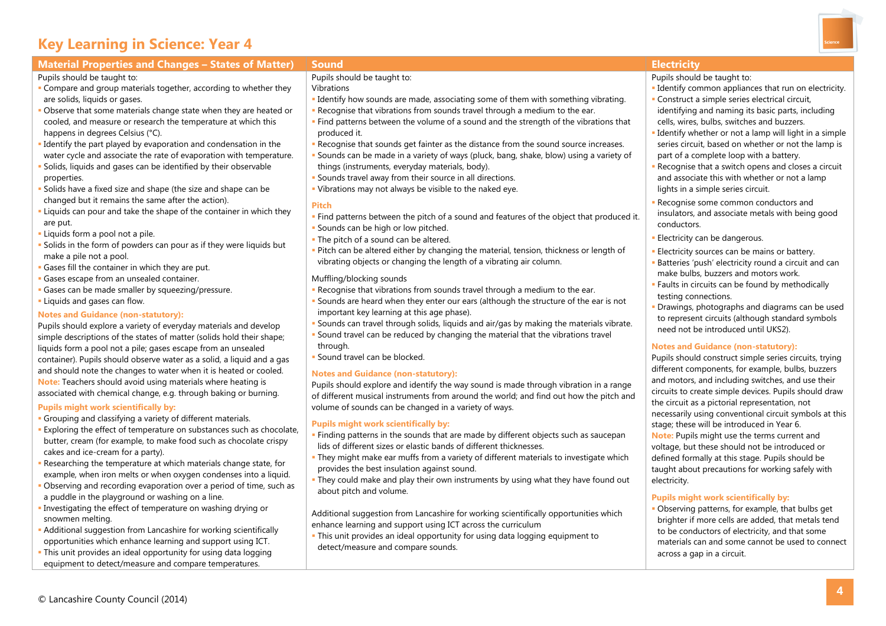# **Key Learning in Science: Year 4**

**Compare and group materials together, according to whether they** 

 Observe that some materials change state when they are heated or cooled, and measure or research the temperature at which this

I dentify the part played by evaporation and condensation in the water cycle and associate the rate of evaporation with temperature. Solids, liquids and gases can be identified by their observable

Solids have a fixed size and shape (the size and shape can be

Liquids can pour and take the shape of the container in which they

Pupils should explore a variety of everyday materials and develop simple descriptions of the states of matter (solids hold their shape; liquids form a pool not a pile; gases escape from an unsealed container). Pupils should observe water as a solid, a liquid and a gas and should note the changes to water when it is heated or cooled. **Note:** Teachers should avoid using materials where heating is associated with chemical change, e.g. through baking or burning.

changed but it remains the same after the action).

Gases fill the container in which they are put.

Pupils should be taught to:

properties.

are put.

are solids, liquids or gases.

happens in degrees Celsius (°C).

**Liquids form a pool not a pile.** 

make a pile not a pool.

Liquids and gases can flow.



# **Material Properties and Changes – States of Matter) Sound Electricity**

- Pupils should be taught to:
- **I** Identify common appliances that run on electricity.
- Construct a simple series electrical circuit, identifying and naming its basic parts, including cells, wires, bulbs, switches and buzzers.
- Identify whether or not a lamp will light in a simple series circuit, based on whether or not the lamp is part of a complete loop with a battery.
- Recognise that a switch opens and closes a circuit and associate this with whether or not a lamp lights in a simple series circuit.
- Recognise some common conductors and insulators, and associate metals with being good conductors.
- **Electricity can be dangerous.**
- Electricity sources can be mains or battery.
- Batteries 'push' electricity round a circuit and can make bulbs, buzzers and motors work.
- Faults in circuits can be found by methodically testing connections.
- Drawings, photographs and diagrams can be used to represent circuits (although standard symbols need not be introduced until UKS2).

## **Notes and Guidance (non-statutory):**

Pupils should construct simple series circuits, trying different components, for example, bulbs, buzzers and motors, and including switches, and use their circuits to create simple devices. Pupils should draw the circuit as a pictorial representation, not necessarily using conventional circuit symbols at this stage; these will be introduced in Year 6. **Note:** Pupils might use the terms current and voltage, but these should not be introduced or defined formally at this stage. Pupils should be taught about precautions for working safely with electricity.

## **Pupils might work scientifically by:**

 Observing patterns, for example, that bulbs get brighter if more cells are added, that metals tend to be conductors of electricity, and that some materials can and some cannot be used to connect across a gap in a circuit.

Pupils should be taught to:

Vibrations

- I dentify how sounds are made, associating some of them with something vibrating. Recognise that vibrations from sounds travel through a medium to the ear.
- Find patterns between the volume of a sound and the strength of the vibrations that produced it.
- Recognise that sounds get fainter as the distance from the sound source increases. Sounds can be made in a variety of ways (pluck, bang, shake, blow) using a variety of things (instruments, everyday materials, body).
- Sounds travel away from their source in all directions.
- Vibrations may not always be visible to the naked eye.

## **Pitch**

- Find patterns between the pitch of a sound and features of the object that produced it. **Sounds can be high or low pitched.**
- **The pitch of a sound can be altered.**
- Pitch can be altered either by changing the material, tension, thickness or length of vibrating objects or changing the length of a vibrating air column.

## Muffling/blocking sounds

- Recognise that vibrations from sounds travel through a medium to the ear.
- Sounds are heard when they enter our ears (although the structure of the ear is not important key learning at this age phase).
- Sound travel can be reduced by changing the material that the vibrations travel through.
- **Sound travel can be blocked.**

Pupils should explore and identify the way sound is made through vibration in a range of different musical instruments from around the world; and find out how the pitch and volume of sounds can be changed in a variety of ways.

# **Pupils might work scientifically by:**

- **Finding patterns in the sounds that are made by different objects such as saucepan** lids of different sizes or elastic bands of different thicknesses.
- They might make ear muffs from a variety of different materials to investigate which provides the best insulation against sound.
- They could make and play their own instruments by using what they have found out about pitch and volume.

Additional suggestion from Lancashire for working scientifically opportunities which enhance learning and support using ICT across the curriculum

 This unit provides an ideal opportunity for using data logging equipment to detect/measure and compare sounds.

- 
- 

# Solids in the form of powders can pour as if they were liquids but

- **Gases escape from an unsealed container.**  Gases can be made smaller by squeezing/pressure.
	- - Sounds can travel through solids, liquids and air/gas by making the materials vibrate.
		-

**Notes and Guidance (non-statutory):**

## **Pupils might work scientifically by:**

**Notes and Guidance (non-statutory):**

- Grouping and classifying a variety of different materials.
- **Exploring the effect of temperature on substances such as chocolate,** butter, cream (for example, to make food such as chocolate crispy cakes and ice-cream for a party).
- Researching the temperature at which materials change state, for example, when iron melts or when oxygen condenses into a liquid.
- Observing and recording evaporation over a period of time, such as a puddle in the playground or washing on a line.
- Investigating the effect of temperature on washing drying or snowmen melting.
- Additional suggestion from Lancashire for working scientifically opportunities which enhance learning and support using ICT.
- This unit provides an ideal opportunity for using data logging equipment to detect/measure and compare temperatures.